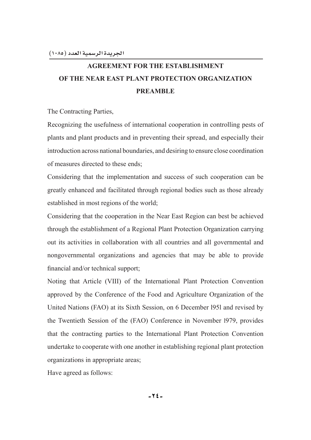# **AGREEMENT FOR THE ESTABLISHMENT OF THE NEAR EAST PLANT PROTECTION ORGANIZATION PREAMBLE**

The Contracting Parties,

Recognizing the usefulness of international cooperation in controlling pests of plants and plant products and in preventing their spread, and especially their introduction across national boundaries, and desiring to ensure close coordination of measures directed to these ends;

Considering that the implementation and success of such cooperation can be greatly enhanced and facilitated through regional bodies such as those already established in most regions of the world;

Considering that the cooperation in the Near East Region can best be achieved through the establishment of a Regional Plant Protection Organization carrying out its activities in collaboration with all countries and all governmental and nongovernmental organizations and agencies that may be able to provide financial and/or technical support;

Noting that Article (VIII) of the International Plant Protection Convention approved by the Conference of the Food and Agriculture Organization of the United Nations (FAO) at its Sixth Session, on 6 December l95l and revised by the Twentieth Session of the (FAO) Conference in November l979, provides that the contracting parties to the International Plant Protection Convention undertake to cooperate with one another in establishing regional plant protection organizations in appropriate areas;

Have agreed as follows: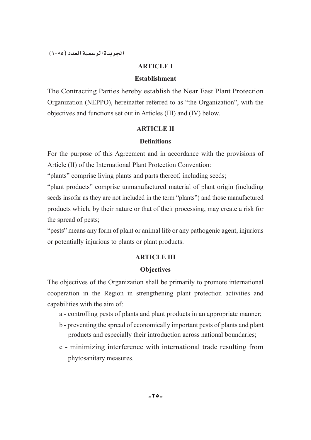# **ARTICLE I**

# **Establishment**

The Contracting Parties hereby establish the Near East Plant Protection Organization (NEPPO), hereinafter referred to as "the Organization", with the objectives and functions set out in Articles (III) and (IV) below.

# **ARTICLE II**

# Definitions

For the purpose of this Agreement and in accordance with the provisions of Article (II) of the International Plant Protection Convention:

"plants" comprise living plants and parts thereof, including seeds;

"plant products" comprise unmanufactured material of plant origin (including seeds insofar as they are not included in the term "plants") and those manufactured products which, by their nature or that of their processing, may create a risk for the spread of pests;

"pests" means any form of plant or animal life or any pathogenic agent, injurious or potentially injurious to plants or plant products.

# **ARTICLE III**

# **Objectives**

The objectives of the Organization shall be primarily to promote international cooperation in the Region in strengthening plant protection activities and capabilities with the aim of:

- a controlling pests of plants and plant products in an appropriate manner;
- b preventing the spread of economically important pests of plants and plant products and especially their introduction across national boundaries;
- c minimizing interference with international trade resulting from phytosanitary measures.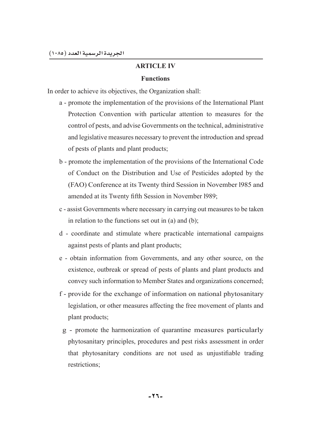# **ARTICLE IV**

### **Functions**

In order to achieve its objectives, the Organization shall:

- a promote the implementation of the provisions of the International Plant Protection Convention with particular attention to measures for the control of pests, and advise Governments on the technical, administrative and legislative measures necessary to prevent the introduction and spread of pests of plants and plant products;
- b promote the implementation of the provisions of the International Code of Conduct on the Distribution and Use of Pesticides adopted by the (FAO) Conference at its Twenty third Session in November l985 and amended at its Twenty fifth Session in November 1989;
- c assist Governments where necessary in carrying out measures to be taken in relation to the functions set out in (a) and (b);
- d coordinate and stimulate where practicable international campaigns against pests of plants and plant products;
- e obtain information from Governments, and any other source, on the existence, outbreak or spread of pests of plants and plant products and convey such information to Member States and organizations concerned;
- f provide for the exchange of information on national phytosanitary legislation, or other measures affecting the free movement of plants and plant products;
- g promote the harmonization of quarantine measures particularly phytosanitary principles, procedures and pest risks assessment in order that phytosanitary conditions are not used as unjustifiable trading restrictions;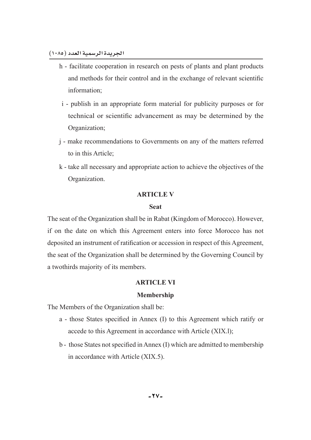- h facilitate cooperation in research on pests of plants and plant products and methods for their control and in the exchange of relevant scientific information;
- i publish in an appropriate form material for publicity purposes or for technical or scientific advancement as may be determined by the Organization;
- j make recommendations to Governments on any of the matters referred to in this Article;
- k take all necessary and appropriate action to achieve the objectives of the Organization.

### **ARTICLE V**

#### **Seat**

The seat of the Organization shall be in Rabat (Kingdom of Morocco). However, if on the date on which this Agreement enters into force Morocco has not deposited an instrument of ratification or accession in respect of this Agreement, the seat of the Organization shall be determined by the Governing Council by a twothirds majority of its members.

#### **ARTICLE VI**

### **Membership**

The Members of the Organization shall be:

- a those States specified in Annex (I) to this Agreement which ratify or accede to this Agreement in accordance with Article (XIX.l);
- b those States not specified in Annex (I) which are admitted to membership in accordance with Article (XIX.5).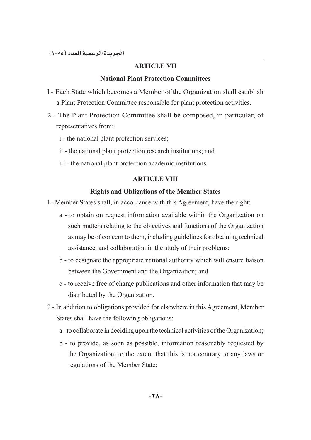# **ARTICLE VII**

# **National Plant Protection Committees**

- l Each State which becomes a Member of the Organization shall establish a Plant Protection Committee responsible for plant protection activities.
- 2 The Plant Protection Committee shall be composed, in particular, of representatives from:
	- i the national plant protection services;
	- ii the national plant protection research institutions; and
	- iii the national plant protection academic institutions.

# **ARTICLE VIII**

# **Rights and Obligations of the Member States**

- l Member States shall, in accordance with this Agreement, have the right:
	- a to obtain on request information available within the Organization on such matters relating to the objectives and functions of the Organization as may be of concern to them, including guidelines for obtaining technical assistance, and collaboration in the study of their problems;
	- b to designate the appropriate national authority which will ensure liaison between the Government and the Organization; and
	- c to receive free of charge publications and other information that may be distributed by the Organization.
- 2 In addition to obligations provided for elsewhere in this Agreement, Member States shall have the following obligations:
	- a to collaborate in deciding upon the technical activities of the Organization;
	- b to provide, as soon as possible, information reasonably requested by the Organization, to the extent that this is not contrary to any laws or regulations of the Member State;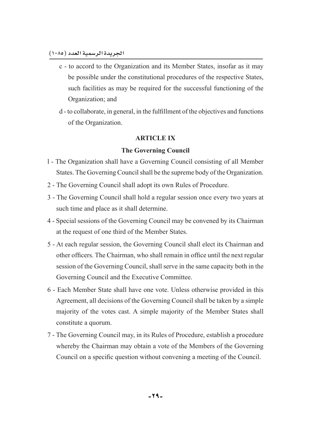- c to accord to the Organization and its Member States, insofar as it may be possible under the constitutional procedures of the respective States, such facilities as may be required for the successful functioning of the Organization; and
- d to collaborate, in general, in the fulfillment of the objectives and functions of the Organization.

# **ARTICLE IX**

# **7he Governing Council**

- l The Organization shall have a Governing Council consisting of all Member States. The Governing Council shall be the supreme body of the Organization.
- 2 The Governing Council shall adopt its own Rules of Procedure.
- 3 The Governing Council shall hold a regular session once every two years at such time and place as it shall determine.
- 4 Special sessions of the Governing Council may be convened by its Chairman at the request of one third of the Member States.
- 5 At each regular session, the Governing Council shall elect its Chairman and other officers. The Chairman, who shall remain in office until the next regular session of the Governing Council, shall serve in the same capacity both in the Governing Council and the Executive Committee.
- 6 Each Member State shall have one vote. Unless otherwise provided in this Agreement, all decisions of the Governing Council shall be taken by a simple majority of the votes cast. A simple majority of the Member States shall constitute a quorum.
- 7 The Governing Council may, in its Rules of Procedure, establish a procedure whereby the Chairman may obtain a vote of the Members of the Governing Council on a specific question without convening a meeting of the Council.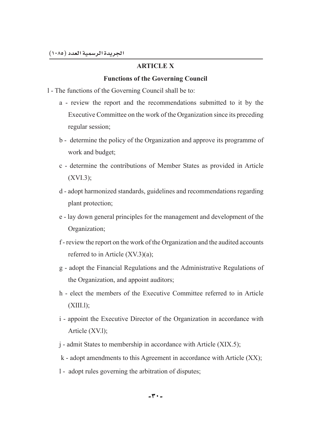# **ARTICLE X**

# **Functions of the Governing Council**

- l The functions of the Governing Council shall be to:
	- a review the report and the recommendations submitted to it by the Executive Committee on the work of the Organization since its preceding regular session;
	- b determine the policy of the Organization and approve its programme of work and budget;
	- c determine the contributions of Member States as provided in Article (XVI.3);
	- d adopt harmonized standards, guidelines and recommendations regarding plant protection;
	- e lay down general principles for the management and development of the Organization;
	- f review the report on the work of the Organization and the audited accounts referred to in Article (XV.3)(a);
	- g adopt the Financial Regulations and the Administrative Regulations of the Organization, and appoint auditors;
	- h elect the members of the Executive Committee referred to in Article (XIII.l);
	- i appoint the Executive Director of the Organization in accordance with Article (XV.l);
	- j admit States to membership in accordance with Article (XIX.5);
	- k adopt amendments to this Agreement in accordance with Article (XX);
	- l adopt rules governing the arbitration of disputes;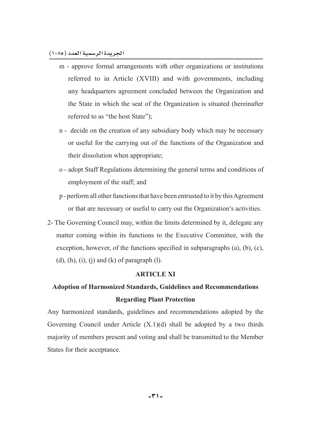- m approve formal arrangements with other organizations or institutions referred to in Article (XVIII) and with governments, including any headquarters agreement concluded between the Organization and the State in which the seat of the Organization is situated (hereinafter referred to as "the host State");
- n decide on the creation of any subsidiary body which may be necessary or useful for the carrying out of the functions of the Organization and their dissolution when appropriate;
- o adopt Staff Regulations determining the general terms and conditions of employment of the staff; and
- p perform all other functions that have been entrusted to it by this Agreement or that are necessary or useful to carry out the Organization's activities.
- 2- The Governing Council may, within the limits determined by it, delegate any matter coming within its functions to the Executive Committee, with the exception, however, of the functions specified in subparagraphs (a), (b), (c),  $(d)$ ,  $(h)$ ,  $(i)$ ,  $(i)$  and  $(k)$  of paragraph  $(l)$ .

# **ARTICLE XI**

# Adoption of Harmonized Standards, Guidelines and Recommendations **Regarding Plant Protection**

Any harmonized standards, guidelines and recommendations adopted by the Governing Council under Article  $(X,1)(d)$  shall be adopted by a two thirds majority of members present and voting and shall be transmitted to the Member States for their acceptance.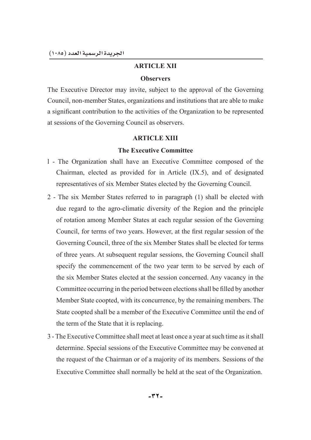# **ARTICLE XII**

### **Observers**

The Executive Director may invite, subject to the approval of the Governing Council, non-member States, organizations and institutions that are able to make a significant contribution to the activities of the Organization to be represented at sessions of the Governing Council as observers.

# **ARTICLE XIII**

# **The Executive Committee**

- l The Organization shall have an Executive Committee composed of the Chairman, elected as provided for in Article (IX.5), and of designated representatives of six Member States elected by the Governing Council.
- 2 The six Member States referred to in paragraph (1) shall be elected with due regard to the agro-climatic diversity of the Region and the principle of rotation among Member States at each regular session of the Governing Council, for terms of two years. However, at the first regular session of the Governing Council, three of the six Member States shall be elected for terms of three years. At subsequent regular sessions, the Governing Council shall specify the commencement of the two year term to be served by each of the six Member States elected at the session concerned. Any vacancy in the Committee occurring in the period between elections shall be filled by another Member State coopted, with its concurrence, by the remaining members. The State coopted shall be a member of the Executive Committee until the end of the term of the State that it is replacing.
- 3 The Executive Committee shall meet at least once a year at such time as it shall determine. Special sessions of the Executive Committee may be convened at the request of the Chairman or of a majority of its members. Sessions of the Executive Committee shall normally be held at the seat of the Organization.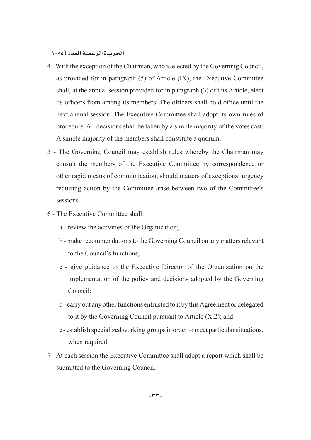- 4 With the exception of the Chairman, who is elected by the Governing Council, as provided for in paragraph (5) of Article (IX), the Executive Committee shall, at the annual session provided for in paragraph (3) of this Article, elect its officers from among its members. The officers shall hold office until the next annual session. The Executive Committee shall adopt its own rules of procedure. All decisions shall be taken by a simple majority of the votes cast. A simple majority of the members shall constitute a quorum.
- 5 The Governing Council may establish rules whereby the Chairman may consult the members of the Executive Committee by correspondence or other rapid means of communication, should matters of exceptional urgency requiring action by the Committee arise between two of the Committee's sessions.
- 6 The Executive Committee shall:
	- a review the activities of the Organization;
	- b make recommendations to the Governing Council on any matters relevant to the Council's functions;
	- c give guidance to the Executive Director of the Organization on the implementation of the policy and decisions adopted by the Governing Council;
	- d carry out any other functions entrusted to it by this Agreement or delegated to it by the Governing Council pursuant to Article (X.2); and
	- e establish specialized working groups in order to meet particular situations, when required.
- 7 At each session the Executive Committee shall adopt a report which shall be submitted to the Governing Council.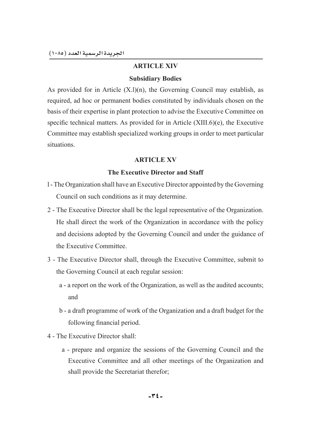# **ARTICLE XIV**

### **Subsidiary Bodies**

As provided for in Article  $(X, l)(n)$ , the Governing Council may establish, as required, ad hoc or permanent bodies constituted by individuals chosen on the basis of their expertise in plant protection to advise the Executive Committee on specific technical matters. As provided for in Article  $(XIII.6)(e)$ , the Executive Committee may establish specialized working groups in order to meet particular situations.

# **ARTICLE XV**

### **The Executive Director and Staff**

- l The Organization shall have an Executive Director appointed by the Governing Council on such conditions as it may determine.
- 2 The Executive Director shall be the legal representative of the Organization. He shall direct the work of the Organization in accordance with the policy and decisions adopted by the Governing Council and under the guidance of the Executive Committee.
- 3 The Executive Director shall, through the Executive Committee, submit to the Governing Council at each regular session:
	- a a report on the work of the Organization, as well as the audited accounts; and
	- b a draft programme of work of the Organization and a draft budget for the following financial period.
- 4 The Executive Director shall:
	- a prepare and organize the sessions of the Governing Council and the Executive Committee and all other meetings of the Organization and shall provide the Secretariat therefor;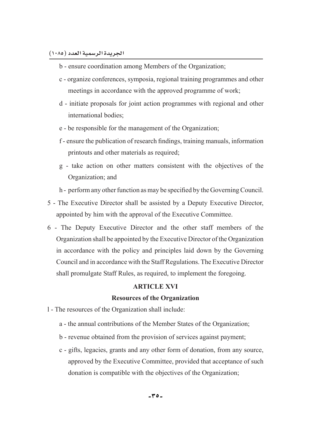- b ensure coordination among Members of the Organization;
- c organize conferences, symposia, regional training programmes and other meetings in accordance with the approved programme of work;
- d initiate proposals for joint action programmes with regional and other international bodies;
- e be responsible for the management of the Organization;
- f ensure the publication of research findings, training manuals, information printouts and other materials as required;
- g take action on other matters consistent with the objectives of the Organization; and
- h perform any other function as may be specified by the Governing Council.
- 5 The Executive Director shall be assisted by a Deputy Executive Director, appointed by him with the approval of the Executive Committee.
- 6 The Deputy Executive Director and the other staff members of the Organization shall be appointed by the Executive Director of the Organization in accordance with the policy and principles laid down by the Governing Council and in accordance with the Staff Regulations. The Executive Director shall promulgate Staff Rules, as required, to implement the foregoing.

### **ARTICLE XVI**

#### **Resources of the Organization**

- l The resources of the Organization shall include:
	- a the annual contributions of the Member States of the Organization;
	- b revenue obtained from the provision of services against payment;
	- c gifts, legacies, grants and any other form of donation, from any source, approved by the Executive Committee, provided that acceptance of such donation is compatible with the objectives of the Organization;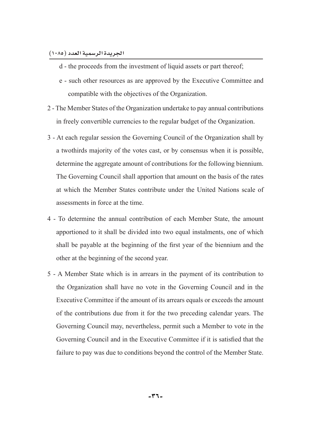- d the proceeds from the investment of liquid assets or part thereof;
- e such other resources as are approved by the Executive Committee and compatible with the objectives of the Organization.
- 2 The Member States of the Organization undertake to pay annual contributions in freely convertible currencies to the regular budget of the Organization.
- 3 At each regular session the Governing Council of the Organization shall by a twothirds majority of the votes cast, or by consensus when it is possible, determine the aggregate amount of contributions for the following biennium. The Governing Council shall apportion that amount on the basis of the rates at which the Member States contribute under the United Nations scale of assessments in force at the time.
- 4 To determine the annual contribution of each Member State, the amount apportioned to it shall be divided into two equal instalments, one of which shall be payable at the beginning of the first year of the biennium and the other at the beginning of the second year.
- 5 A Member State which is in arrears in the payment of its contribution to the Organization shall have no vote in the Governing Council and in the Executive Committee if the amount of its arrears equals or exceeds the amount of the contributions due from it for the two preceding calendar years. The Governing Council may, nevertheless, permit such a Member to vote in the Governing Council and in the Executive Committee if it is satisfied that the failure to pay was due to conditions beyond the control of the Member State.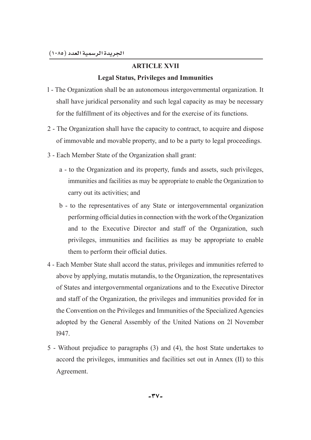# **ARTICLE XVII**

# **Legal Status, Privileges and Immunities**

- l The Organization shall be an autonomous intergovernmental organization. It shall have juridical personality and such legal capacity as may be necessary for the fulfillment of its objectives and for the exercise of its functions.
- 2 The Organization shall have the capacity to contract, to acquire and dispose of immovable and movable property, and to be a party to legal proceedings.
- 3 Each Member State of the Organization shall grant:
	- a to the Organization and its property, funds and assets, such privileges, immunities and facilities as may be appropriate to enable the Organization to carry out its activities; and
	- b to the representatives of any State or intergovernmental organization performing official duties in connection with the work of the Organization and to the Executive Director and staff of the Organization, such privileges, immunities and facilities as may be appropriate to enable them to perform their official duties.
- 4 Each Member State shall accord the status, privileges and immunities referred to above by applying, mutatis mutandis, to the Organization, the representatives of States and intergovernmental organizations and to the Executive Director and staff of the Organization, the privileges and immunities provided for in the Convention on the Privileges and Immunities of the Specialized Agencies adopted by the General Assembly of the United Nations on 2l November l947.
- 5 Without prejudice to paragraphs (3) and (4), the host State undertakes to accord the privileges, immunities and facilities set out in Annex (II) to this Agreement.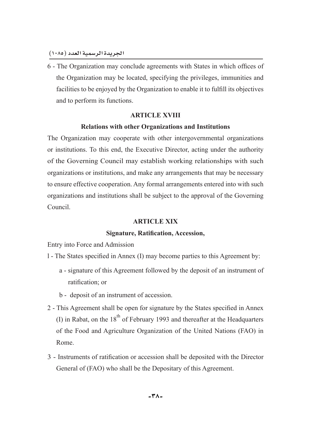6 - The Organization may conclude agreements with States in which offices of the Organization may be located, specifying the privileges, immunities and facilities to be enjoyed by the Organization to enable it to fulfill its objectives and to perform its functions.

# **ARTICLE XVIII**

### **Relations with other Organizations and Institutions**

The Organization may cooperate with other intergovernmental organizations or institutions. To this end, the Executive Director, acting under the authority of the Governing Council may establish working relationships with such organizations or institutions, and make any arrangements that may be necessary to ensure effective cooperation. Any formal arrangements entered into with such organizations and institutions shall be subject to the approval of the Governing Council.

### **ARTICLE XIX**

### **Signature, Ratification, Accession,**

Entry into Force and Admission

- 1 The States specified in Annex (I) may become parties to this Agreement by:
	- a signature of this Agreement followed by the deposit of an instrument of ratification; or
	- b deposit of an instrument of accession.
- 2 This Agreement shall be open for signature by the States specified in Annex (I) in Rabat, on the  $18<sup>th</sup>$  of February 1993 and thereafter at the Headquarters of the Food and Agriculture Organization of the United Nations (FAO) in Rome.
- 3 Instruments of ratification or accession shall be deposited with the Director General of (FAO) who shall be the Depositary of this Agreement.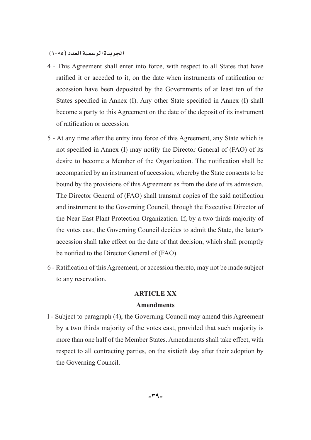- 4 This Agreement shall enter into force, with respect to all States that have ratified it or acceded to it, on the date when instruments of ratification or accession have been deposited by the Governments of at least ten of the States specified in Annex (I). Any other State specified in Annex (I) shall become a party to this Agreement on the date of the deposit of its instrument of ratification or accession.
- 5 At any time after the entry into force of this Agreement, any State which is not specified in Annex (I) may notify the Director General of (FAO) of its desire to become a Member of the Organization. The notification shall be accompanied by an instrument of accession, whereby the State consents to be bound by the provisions of this Agreement as from the date of its admission. The Director General of (FAO) shall transmit copies of the said notification and instrument to the Governing Council, through the Executive Director of the Near East Plant Protection Organization. If, by a two thirds majority of the votes cast, the Governing Council decides to admit the State, the latter's accession shall take effect on the date of that decision, which shall promptly be notified to the Director General of (FAO).
- 6 Ratification of this Agreement, or accession thereto, may not be made subject to any reservation.

#### **ARTICLE XX**

#### **Amendments**

l - Subject to paragraph (4), the Governing Council may amend this Agreement by a two thirds majority of the votes cast, provided that such majority is more than one half of the Member States. Amendments shall take effect, with respect to all contracting parties, on the sixtieth day after their adoption by the Governing Council.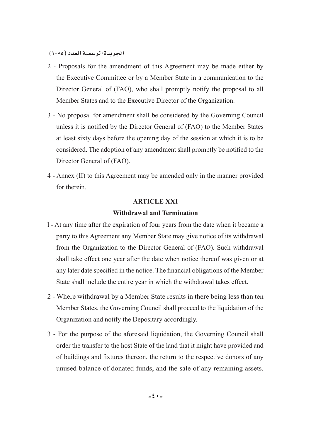- 2 Proposals for the amendment of this Agreement may be made either by the Executive Committee or by a Member State in a communication to the Director General of (FAO), who shall promptly notify the proposal to all Member States and to the Executive Director of the Organization.
- 3 No proposal for amendment shall be considered by the Governing Council unless it is notified by the Director General of (FAO) to the Member States at least sixty days before the opening day of the session at which it is to be considered. The adoption of any amendment shall promptly be notified to the Director General of (FAO).
- 4 Annex (II) to this Agreement may be amended only in the manner provided for therein.

# **ARTICLE XXI Withdrawal and Termination**

- l At any time after the expiration of four years from the date when it became a party to this Agreement any Member State may give notice of its withdrawal from the Organization to the Director General of (FAO). Such withdrawal shall take effect one year after the date when notice thereof was given or at any later date specified in the notice. The financial obligations of the Member State shall include the entire year in which the withdrawal takes effect.
- 2 Where withdrawal by a Member State results in there being less than ten Member States, the Governing Council shall proceed to the liquidation of the Organization and notify the Depositary accordingly.
- 3 For the purpose of the aforesaid liquidation, the Governing Council shall order the transfer to the host State of the land that it might have provided and of buildings and fixtures thereon, the return to the respective donors of any unused balance of donated funds, and the sale of any remaining assets.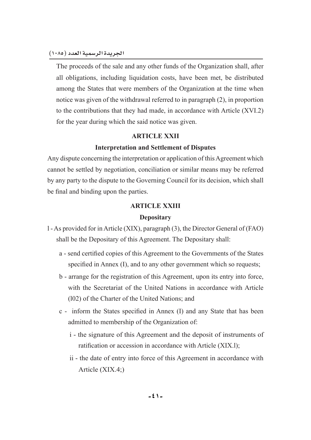The proceeds of the sale and any other funds of the Organization shall, after all obligations, including liquidation costs, have been met, be distributed among the States that were members of the Organization at the time when notice was given of the withdrawal referred to in paragraph (2), in proportion to the contributions that they had made, in accordance with Article (XVI.2) for the year during which the said notice was given.

# **ARTICLE XXII**

# **Interpretation and Settlement of Disputes**

Any dispute concerning the interpretation or application of this Agreement which cannot be settled by negotiation, conciliation or similar means may be referred by any party to the dispute to the Governing Council for its decision, which shall be final and binding upon the parties.

# **ARTICLE XXIII**

# **Depositary**

- l As provided for in Article (XIX), paragraph (3), the Director General of (FAO) shall be the Depositary of this Agreement. The Depositary shall:
	- a send certified copies of this Agreement to the Governments of the States specified in Annex  $(I)$ , and to any other government which so requests;
	- b arrange for the registration of this Agreement, upon its entry into force, with the Secretariat of the United Nations in accordance with Article (l02) of the Charter of the United Nations; and
	- c inform the States specified in Annex (I) and any State that has been admitted to membership of the Organization of:
		- i the signature of this Agreement and the deposit of instruments of ratification or accession in accordance with Article  $(XIX.1)$ ;
		- ii the date of entry into force of this Agreement in accordance with Article (XIX.4;)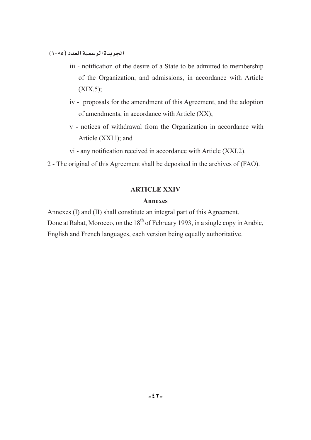- iii notification of the desire of a State to be admitted to membership of the Organization, and admissions, in accordance with Article  $(XIX.5)$ ;
- iv proposals for the amendment of this Agreement, and the adoption of amendments, in accordance with Article (XX);
- v notices of withdrawal from the Organization in accordance with Article (XXI.l); and
- $vi$  any notification received in accordance with Article (XXI.2).
- 2 The original of this Agreement shall be deposited in the archives of (FAO).

# **ARTICLE XXIV**

#### **Annexes**

Annexes (I) and (II) shall constitute an integral part of this Agreement. Done at Rabat, Morocco, on the  $18<sup>th</sup>$  of February 1993, in a single copy in Arabic, English and French languages, each version being equally authoritative.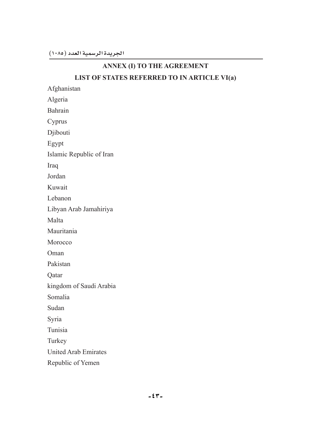# **ANNEX (I) TO THE AGREEMENT**

# **LIST OF STATES REFERRED TO IN ARTICLE VI(a)**

Afghanistan

Algeria

Bahrain

Cyprus

Djibouti

Egypt

Islamic Republic of Iran

Iraq

Jordan

Kuwait

Lebanon

Libyan Arab Jamahiriya

Malta

Mauritania

Morocco

Oman

Pakistan

Qatar

kingdom of Saudi Arabia

Somalia

Sudan

Syria

Tunisia

Turkey

United Arab Emirates

Republic of Yemen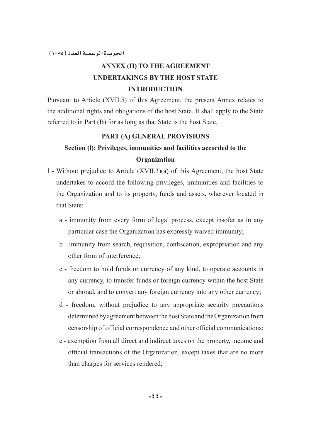# **ANNEX (II) TO THE AGREEMENT UNDERTAKINGS BY THE HOST STATE INTRODUCTION**

Pursuant to Article (XVII.5) of this Agreement, the present Annex relates to the additional rights and obligations of the host State. It shall apply to the State referred to in Part (B) for as long as that State is the host State.

# **PART (A) GENERAL PROVISIONS**

# **Section (I): Privileges, immunities and facilities accorded to the Organization**

- l Without prejudice to Article (XVII.3)(a) of this Agreement, the host State undertakes to accord the following privileges, immunities and facilities to the Organization and to its property, funds and assets, wherever located in that State:
	- a immunity from every form of legal process, except insofar as in any particular case the Organization has expressly waived immunity;
	- b immunity from search, requisition, confiscation, expropriation and any other form of interference;
	- c freedom to hold funds or currency of any kind, to operate accounts in any currency, to transfer funds or foreign currency within the host State or abroad, and to convert any foreign currency into any other currency;
	- d freedom, without prejudice to any appropriate security precautions determined by agreement between the host State and the Organization from censorship of official correspondence and other official communications;
	- e exemption from all direct and indirect taxes on the property, income and official transactions of the Organization, except taxes that are no more than charges for services rendered;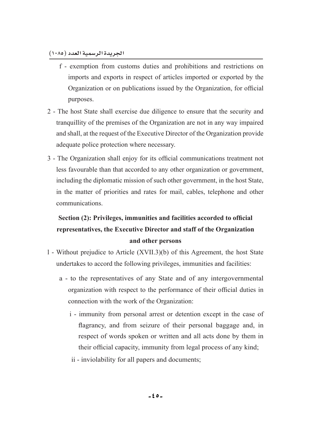- f exemption from customs duties and prohibitions and restrictions on imports and exports in respect of articles imported or exported by the Organization or on publications issued by the Organization, for official purposes.
- 2 The host State shall exercise due diligence to ensure that the security and tranquillity of the premises of the Organization are not in any way impaired and shall, at the request of the Executive Director of the Organization provide adequate police protection where necessary.
- 3 The Organization shall enjoy for its official communications treatment not less favourable than that accorded to any other organization or government, including the diplomatic mission of such other government, in the host State, in the matter of priorities and rates for mail, cables, telephone and other communications.

# Section (2): Privileges, immunities and facilities accorded to official representatives, the Executive Director and staff of the Organization and other persons

- l Without prejudice to Article (XVII.3)(b) of this Agreement, the host State undertakes to accord the following privileges, immunities and facilities:
	- a to the representatives of any State and of any intergovernmental organization with respect to the performance of their official duties in connection with the work of the Organization:
		- i immunity from personal arrest or detention except in the case of flagrancy, and from seizure of their personal baggage and, in respect of words spoken or written and all acts done by them in their official capacity, immunity from legal process of any kind;
		- ii inviolability for all papers and documents;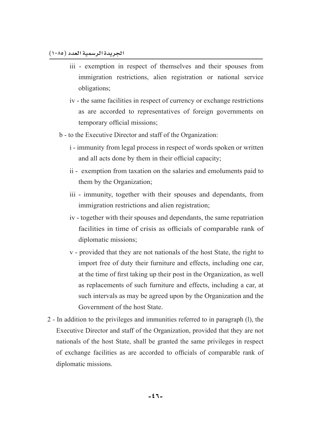- iii exemption in respect of themselves and their spouses from immigration restrictions, alien registration or national service obligations;
- iv the same facilities in respect of currency or exchange restrictions as are accorded to representatives of foreign governments on temporary official missions;
- b to the Executive Director and staff of the Organization:
	- i immunity from legal process in respect of words spoken or written and all acts done by them in their official capacity;
	- ii exemption from taxation on the salaries and emoluments paid to them by the Organization;
	- iii immunity, together with their spouses and dependants, from immigration restrictions and alien registration;
	- iv together with their spouses and dependants, the same repatriation facilities in time of crisis as officials of comparable rank of diplomatic missions;
	- v provided that they are not nationals of the host State, the right to import free of duty their furniture and effects, including one car, at the time of first taking up their post in the Organization, as well as replacements of such furniture and effects, including a car, at such intervals as may be agreed upon by the Organization and the Government of the host State.
- 2 In addition to the privileges and immunities referred to in paragraph (l), the Executive Director and staff of the Organization, provided that they are not nationals of the host State, shall be granted the same privileges in respect of exchange facilities as are accorded to officials of comparable rank of diplomatic missions.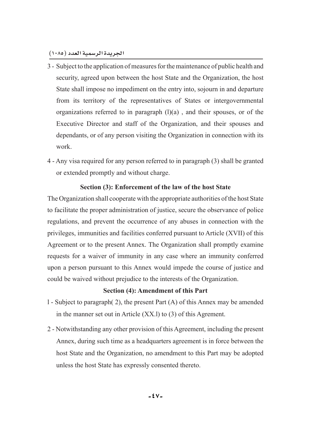- 3 Subject to the application of measures for the maintenance of public health and security, agreed upon between the host State and the Organization, the host State shall impose no impediment on the entry into, sojourn in and departure from its territory of the representatives of States or intergovernmental organizations referred to in paragraph (l)(a) , and their spouses, or of the Executive Director and staff of the Organization, and their spouses and dependants, or of any person visiting the Organization in connection with its work.
- 4 Any visa required for any person referred to in paragraph (3) shall be granted or extended promptly and without charge.

# **Section (3): Enforcement of the law of the host State**

The Organization shall cooperate with the appropriate authorities of the host State to facilitate the proper administration of justice, secure the observance of police regulations, and prevent the occurrence of any abuses in connection with the privileges, immunities and facilities conferred pursuant to Article (XVII) of this Agreement or to the present Annex. The Organization shall promptly examine requests for a waiver of immunity in any case where an immunity conferred upon a person pursuant to this Annex would impede the course of justice and could be waived without prejudice to the interests of the Organization.

# **Section (4): Amendment of this Part**

- l Subject to paragraph( 2), the present Part (A) of this Annex may be amended in the manner set out in Article (XX.l) to (3) of this Agrement.
- 2 Notwithstanding any other provision of this Agreement, including the present Annex, during such time as a headquarters agreement is in force between the host State and the Organization, no amendment to this Part may be adopted unless the host State has expressly consented thereto.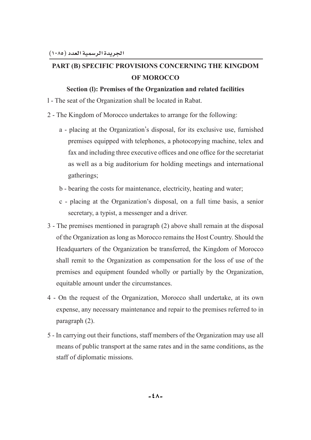# **PART (B) SPECIFIC PROVISIONS CONCERNING THE KINGDOM OF MOROCCO**

# **Section (I): Premises of the Organization and related facilities**

- l The seat of the Organization shall be located in Rabat.
- 2 The Kingdom of Morocco undertakes to arrange for the following:
	- a placing at the Organization's disposal, for its exclusive use, furnished premises equipped with telephones, a photocopying machine, telex and fax and including three executive offices and one office for the secretariat as well as a big auditorium for holding meetings and international gatherings;
	- b bearing the costs for maintenance, electricity, heating and water;
	- c placing at the Organization's disposal, on a full time basis, a senior secretary, a typist, a messenger and a driver.
- 3 The premises mentioned in paragraph (2) above shall remain at the disposal of the Organization as long as Morocco remains the Host Country. Should the Headquarters of the Organization be transferred, the Kingdom of Morocco shall remit to the Organization as compensation for the loss of use of the premises and equipment founded wholly or partially by the Organization, equitable amount under the circumstances.
- 4 On the request of the Organization, Morocco shall undertake, at its own expense, any necessary maintenance and repair to the premises referred to in paragraph (2).
- 5 In carrying out their functions, staff members of the Organization may use all means of public transport at the same rates and in the same conditions, as the staff of diplomatic missions.